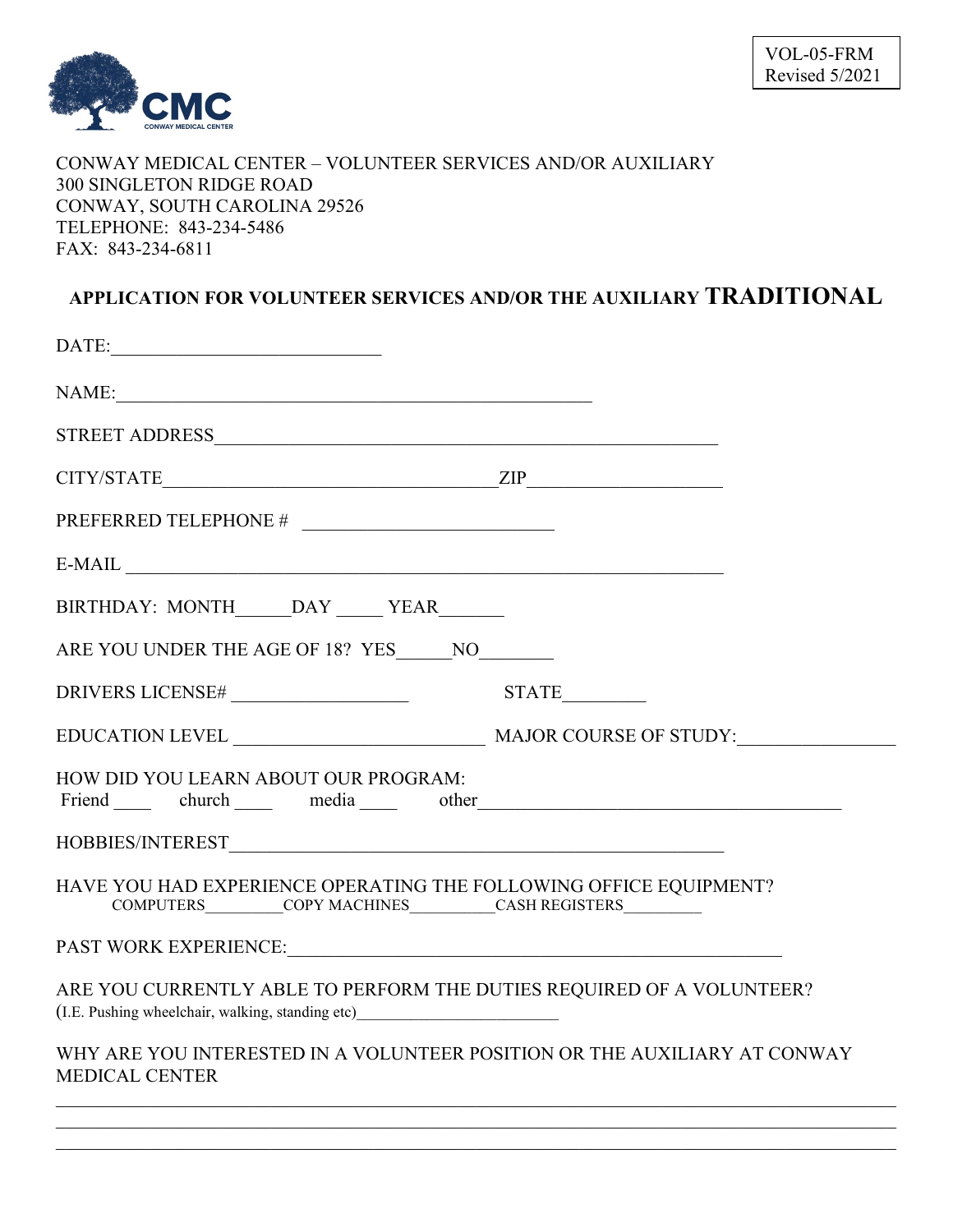

## CONWAY MEDICAL CENTER – VOLUNTEER SERVICES AND/OR AUXILIARY 300 SINGLETON RIDGE ROAD CONWAY, SOUTH CAROLINA 29526 TELEPHONE: 843-234-5486 FAX: 843-234-6811

## **APPLICATION FOR VOLUNTEER SERVICES AND/OR THE AUXILIARY TRADITIONAL**

| ZIP<br>CITY/STATE                                                                                                                                                                                                                                                      |  |  |
|------------------------------------------------------------------------------------------------------------------------------------------------------------------------------------------------------------------------------------------------------------------------|--|--|
| $\begin{tabular}{ll} \bf PREFERRED TELEPHONE \# & \textcolor{red}{\textbf{-----}} \\ \end{tabular}$                                                                                                                                                                    |  |  |
| $E-MAIL$                                                                                                                                                                                                                                                               |  |  |
| BIRTHDAY: MONTH______DAY _____ YEAR_______                                                                                                                                                                                                                             |  |  |
| ARE YOU UNDER THE AGE OF 18? YES _______ NO_________                                                                                                                                                                                                                   |  |  |
|                                                                                                                                                                                                                                                                        |  |  |
|                                                                                                                                                                                                                                                                        |  |  |
| HOW DID YOU LEARN ABOUT OUR PROGRAM:<br>Friend church media other the church church of the church church of the church church church of the church church church church church church church church church church church church church church church church church chu |  |  |
|                                                                                                                                                                                                                                                                        |  |  |
| HAVE YOU HAD EXPERIENCE OPERATING THE FOLLOWING OFFICE EQUIPMENT?<br>COMPUTERS__________COPY MACHINES__________CASH REGISTERS_________________________                                                                                                                 |  |  |
|                                                                                                                                                                                                                                                                        |  |  |
| ARE YOU CURRENTLY ABLE TO PERFORM THE DUTIES REQUIRED OF A VOLUNTEER?<br>(I.E. Pushing wheelchair, walking, standing etc)________________________________                                                                                                              |  |  |
| WHY ARE YOU INTERESTED IN A VOLUNTEER POSITION OR THE AUXILIARY AT CONWAY<br><b>MEDICAL CENTER</b>                                                                                                                                                                     |  |  |

 $\mathcal{L}_\mathcal{L} = \{ \mathcal{L}_\mathcal{L} = \{ \mathcal{L}_\mathcal{L} = \{ \mathcal{L}_\mathcal{L} = \{ \mathcal{L}_\mathcal{L} = \{ \mathcal{L}_\mathcal{L} = \{ \mathcal{L}_\mathcal{L} = \{ \mathcal{L}_\mathcal{L} = \{ \mathcal{L}_\mathcal{L} = \{ \mathcal{L}_\mathcal{L} = \{ \mathcal{L}_\mathcal{L} = \{ \mathcal{L}_\mathcal{L} = \{ \mathcal{L}_\mathcal{L} = \{ \mathcal{L}_\mathcal{L} = \{ \mathcal{L}_\mathcal{$  $\mathcal{L}_\mathcal{L} = \{ \mathcal{L}_\mathcal{L} = \{ \mathcal{L}_\mathcal{L} = \{ \mathcal{L}_\mathcal{L} = \{ \mathcal{L}_\mathcal{L} = \{ \mathcal{L}_\mathcal{L} = \{ \mathcal{L}_\mathcal{L} = \{ \mathcal{L}_\mathcal{L} = \{ \mathcal{L}_\mathcal{L} = \{ \mathcal{L}_\mathcal{L} = \{ \mathcal{L}_\mathcal{L} = \{ \mathcal{L}_\mathcal{L} = \{ \mathcal{L}_\mathcal{L} = \{ \mathcal{L}_\mathcal{L} = \{ \mathcal{L}_\mathcal{$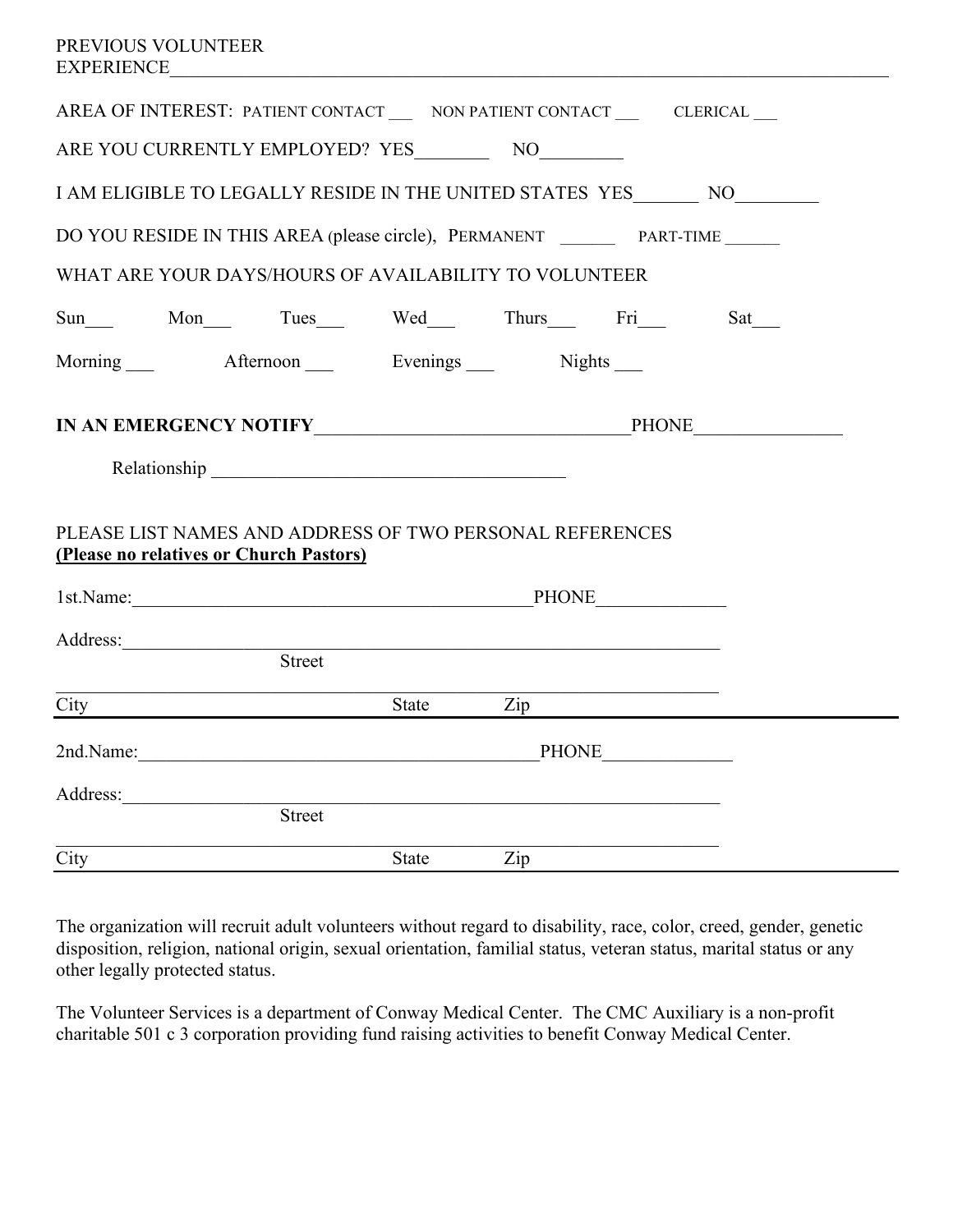| AREA OF INTEREST: PATIENT CONTACT __ NON PATIENT CONTACT ___ CLERICAL __                            |       |                |                      |
|-----------------------------------------------------------------------------------------------------|-------|----------------|----------------------|
| ARE YOU CURRENTLY EMPLOYED? YES NO                                                                  |       |                |                      |
| I AM ELIGIBLE TO LEGALLY RESIDE IN THE UNITED STATES YES NO                                         |       |                |                      |
| DO YOU RESIDE IN THIS AREA (please circle), PERMANENT _________ PART-TIME ______                    |       |                |                      |
| WHAT ARE YOUR DAYS/HOURS OF AVAILABILITY TO VOLUNTEER                                               |       |                |                      |
| Sun Mon Tues Wed Thurs Fri                                                                          |       |                | $Sat$ <sub>___</sub> |
| Morning Afternoon Evenings Nights                                                                   |       |                |                      |
| IN AN EMERGENCY NOTIFY PHONE PHONE                                                                  |       |                |                      |
| PLEASE LIST NAMES AND ADDRESS OF TWO PERSONAL REFERENCES<br>(Please no relatives or Church Pastors) |       |                |                      |
| 1st.Name: PHONE PHONE                                                                               |       |                |                      |
| Address:<br>Street                                                                                  |       |                |                      |
| $City \qquad \qquad \qquad$                                                                         |       | State Zip      |                      |
| 2nd.Name: PHONE                                                                                     |       |                |                      |
| Address: Street                                                                                     |       |                |                      |
| City                                                                                                | State | $\mathbf{Zip}$ |                      |

The organization will recruit adult volunteers without regard to disability, race, color, creed, gender, genetic disposition, religion, national origin, sexual orientation, familial status, veteran status, marital status or any other legally protected status.

The Volunteer Services is a department of Conway Medical Center. The CMC Auxiliary is a non-profit charitable 501 c 3 corporation providing fund raising activities to benefit Conway Medical Center.